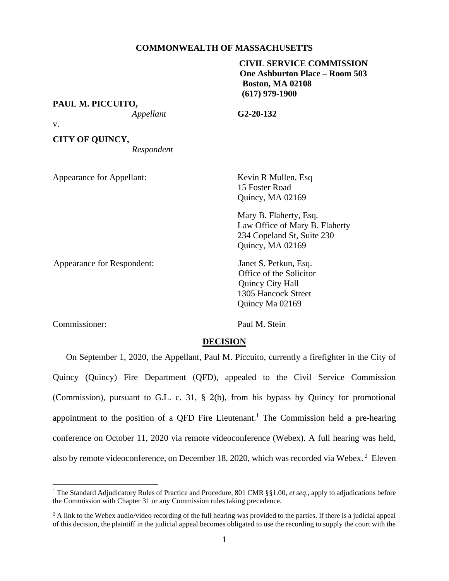### **COMMONWEALTH OF MASSACHUSETTS**

# **CIVIL SERVICE COMMISSION One Ashburton Place – Room 503 Boston, MA 02108 (617) 979-1900**

**PAUL M. PICCUITO,**

*Appellant* **G2-20-132**

v.

**CITY OF QUINCY,**

*Respondent*

Appearance for Appellant: Kevin R Mullen, Esq

15 Foster Road Quincy, MA 02169

Mary B. Flaherty, Esq. Law Office of Mary B. Flaherty 234 Copeland St, Suite 230 Quincy, MA 02169

Appearance for Respondent: Janet S. Petkun, Esq. Office of the Solicitor Quincy City Hall 1305 Hancock Street Quincy Ma 02169

Commissioner: Paul M. Stein

# **DECISION**

On September 1, 2020, the Appellant, Paul M. Piccuito, currently a firefighter in the City of Quincy (Quincy) Fire Department (QFD), appealed to the Civil Service Commission (Commission), pursuant to G.L. c. 31, § 2(b), from his bypass by Quincy for promotional appointment to the position of a QFD Fire Lieutenant. <sup>1</sup> The Commission held a pre-hearing conference on October 11, 2020 via remote videoconference (Webex). A full hearing was held, also by remote videoconference, on December 18, 2020, which was recorded via Webex. <sup>2</sup> Eleven

<sup>&</sup>lt;sup>1</sup> The Standard Adjudicatory Rules of Practice and Procedure, 801 CMR §§1.00, *et seq.*, apply to adjudications before the Commission with Chapter 31 or any Commission rules taking precedence.

<sup>&</sup>lt;sup>2</sup> A link to the Webex audio/video recording of the full hearing was provided to the parties. If there is a judicial appeal of this decision, the plaintiff in the judicial appeal becomes obligated to use the recording to supply the court with the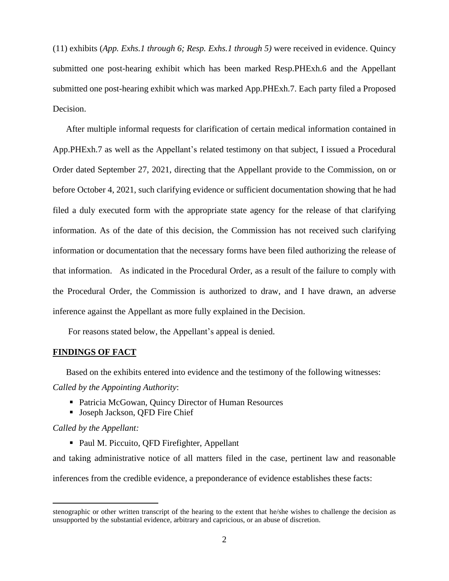(11) exhibits (*App. Exhs.1 through 6; Resp. Exhs.1 through 5)* were received in evidence. Quincy submitted one post-hearing exhibit which has been marked Resp.PHExh.6 and the Appellant submitted one post-hearing exhibit which was marked App.PHExh.7. Each party filed a Proposed Decision.

After multiple informal requests for clarification of certain medical information contained in App.PHExh.7 as well as the Appellant's related testimony on that subject, I issued a Procedural Order dated September 27, 2021, directing that the Appellant provide to the Commission, on or before October 4, 2021, such clarifying evidence or sufficient documentation showing that he had filed a duly executed form with the appropriate state agency for the release of that clarifying information. As of the date of this decision, the Commission has not received such clarifying information or documentation that the necessary forms have been filed authorizing the release of that information. As indicated in the Procedural Order, as a result of the failure to comply with the Procedural Order, the Commission is authorized to draw, and I have drawn, an adverse inference against the Appellant as more fully explained in the Decision.

For reasons stated below, the Appellant's appeal is denied.

### **FINDINGS OF FACT**

Based on the exhibits entered into evidence and the testimony of the following witnesses: *Called by the Appointing Authority*:

- Patricia McGowan, Quincy Director of Human Resources
- Joseph Jackson, OFD Fire Chief

### *Called by the Appellant:*

■ Paul M. Piccuito, QFD Firefighter, Appellant

and taking administrative notice of all matters filed in the case, pertinent law and reasonable inferences from the credible evidence, a preponderance of evidence establishes these facts:

stenographic or other written transcript of the hearing to the extent that he/she wishes to challenge the decision as unsupported by the substantial evidence, arbitrary and capricious, or an abuse of discretion.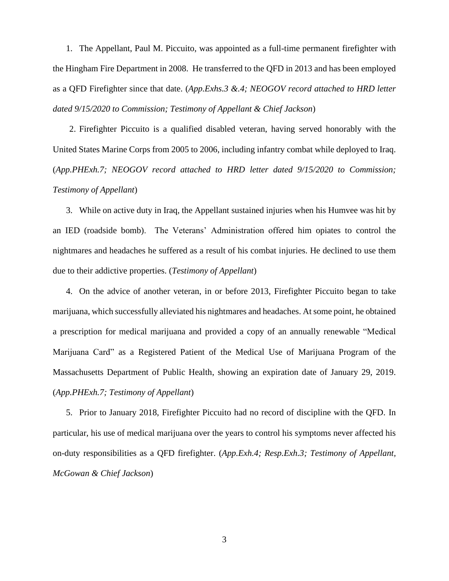1. The Appellant, Paul M. Piccuito, was appointed as a full-time permanent firefighter with the Hingham Fire Department in 2008. He transferred to the QFD in 2013 and has been employed as a QFD Firefighter since that date. (*App.Exhs.3 &.4; NEOGOV record attached to HRD letter dated 9/15/2020 to Commission; Testimony of Appellant & Chief Jackson*)

2. Firefighter Piccuito is a qualified disabled veteran, having served honorably with the United States Marine Corps from 2005 to 2006, including infantry combat while deployed to Iraq. (*App.PHExh.7; NEOGOV record attached to HRD letter dated 9/15/2020 to Commission; Testimony of Appellant*)

3. While on active duty in Iraq, the Appellant sustained injuries when his Humvee was hit by an IED (roadside bomb). The Veterans' Administration offered him opiates to control the nightmares and headaches he suffered as a result of his combat injuries. He declined to use them due to their addictive properties. (*Testimony of Appellant*)

4. On the advice of another veteran, in or before 2013, Firefighter Piccuito began to take marijuana, which successfully alleviated his nightmares and headaches. At some point, he obtained a prescription for medical marijuana and provided a copy of an annually renewable "Medical Marijuana Card" as a Registered Patient of the Medical Use of Marijuana Program of the Massachusetts Department of Public Health, showing an expiration date of January 29, 2019. (*App.PHExh.7; Testimony of Appellant*)

5. Prior to January 2018, Firefighter Piccuito had no record of discipline with the QFD. In particular, his use of medical marijuana over the years to control his symptoms never affected his on-duty responsibilities as a QFD firefighter. (*App.Exh.4; Resp.Exh.3; Testimony of Appellant, McGowan & Chief Jackson*)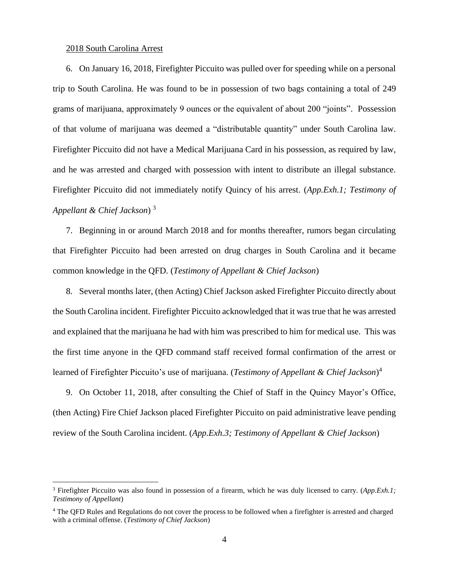#### 2018 South Carolina Arrest

6. On January 16, 2018, Firefighter Piccuito was pulled over for speeding while on a personal trip to South Carolina. He was found to be in possession of two bags containing a total of 249 grams of marijuana, approximately 9 ounces or the equivalent of about 200 "joints". Possession of that volume of marijuana was deemed a "distributable quantity" under South Carolina law. Firefighter Piccuito did not have a Medical Marijuana Card in his possession, as required by law, and he was arrested and charged with possession with intent to distribute an illegal substance. Firefighter Piccuito did not immediately notify Quincy of his arrest. (*App.Exh.1; Testimony of Appellant & Chief Jackson*) 3

7. Beginning in or around March 2018 and for months thereafter, rumors began circulating that Firefighter Piccuito had been arrested on drug charges in South Carolina and it became common knowledge in the QFD. (*Testimony of Appellant & Chief Jackson*)

8. Several months later, (then Acting) Chief Jackson asked Firefighter Piccuito directly about the South Carolina incident. Firefighter Piccuito acknowledged that it was true that he was arrested and explained that the marijuana he had with him was prescribed to him for medical use. This was the first time anyone in the QFD command staff received formal confirmation of the arrest or learned of Firefighter Piccuito's use of marijuana. (*Testimony of Appellant & Chief Jackson*) 4

9. On October 11, 2018, after consulting the Chief of Staff in the Quincy Mayor's Office, (then Acting) Fire Chief Jackson placed Firefighter Piccuito on paid administrative leave pending review of the South Carolina incident. (*App.Exh.3; Testimony of Appellant & Chief Jackson*)

<sup>3</sup> Firefighter Piccuito was also found in possession of a firearm, which he was duly licensed to carry. (*App.Exh.1; Testimony of Appellant*)

<sup>4</sup> The QFD Rules and Regulations do not cover the process to be followed when a firefighter is arrested and charged with a criminal offense. (*Testimony of Chief Jackson*)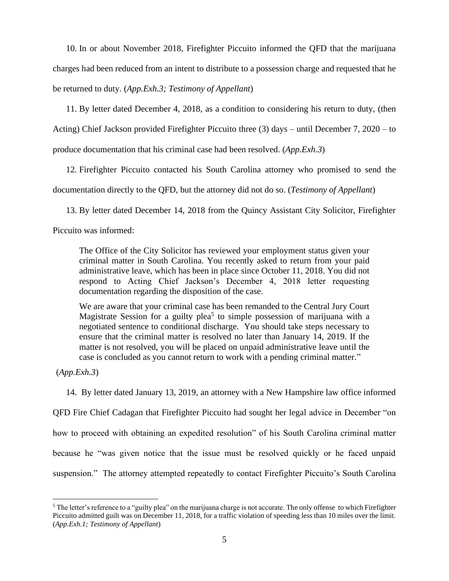10. In or about November 2018, Firefighter Piccuito informed the QFD that the marijuana charges had been reduced from an intent to distribute to a possession charge and requested that he be returned to duty. (*App.Exh.3; Testimony of Appellant*)

11. By letter dated December 4, 2018, as a condition to considering his return to duty, (then

Acting) Chief Jackson provided Firefighter Piccuito three (3) days – until December 7, 2020 – to

produce documentation that his criminal case had been resolved. (*App.Exh.3*)

12. Firefighter Piccuito contacted his South Carolina attorney who promised to send the documentation directly to the QFD, but the attorney did not do so. (*Testimony of Appellant*)

13. By letter dated December 14, 2018 from the Quincy Assistant City Solicitor, Firefighter

Piccuito was informed:

The Office of the City Solicitor has reviewed your employment status given your criminal matter in South Carolina. You recently asked to return from your paid administrative leave, which has been in place since October 11, 2018. You did not respond to Acting Chief Jackson's December 4, 2018 letter requesting documentation regarding the disposition of the case.

We are aware that your criminal case has been remanded to the Central Jury Court Magistrate Session for a guilty plea<sup>5</sup> to simple possession of marijuana with a negotiated sentence to conditional discharge. You should take steps necessary to ensure that the criminal matter is resolved no later than January 14, 2019. If the matter is not resolved, you will be placed on unpaid administrative leave until the case is concluded as you cannot return to work with a pending criminal matter."

(*App.Exh.3*)

14. By letter dated January 13, 2019, an attorney with a New Hampshire law office informed QFD Fire Chief Cadagan that Firefighter Piccuito had sought her legal advice in December "on how to proceed with obtaining an expedited resolution" of his South Carolina criminal matter because he "was given notice that the issue must be resolved quickly or he faced unpaid suspension." The attorney attempted repeatedly to contact Firefighter Piccuito's South Carolina

<sup>&</sup>lt;sup>5</sup> The letter's reference to a "guilty plea" on the marijuana charge is not accurate. The only offense to which Firefighter Piccuito admitted guilt was on December 11, 2018, for a traffic violation of speeding less than 10 miles over the limit. (*App.Exh.1; Testimony of Appellant*)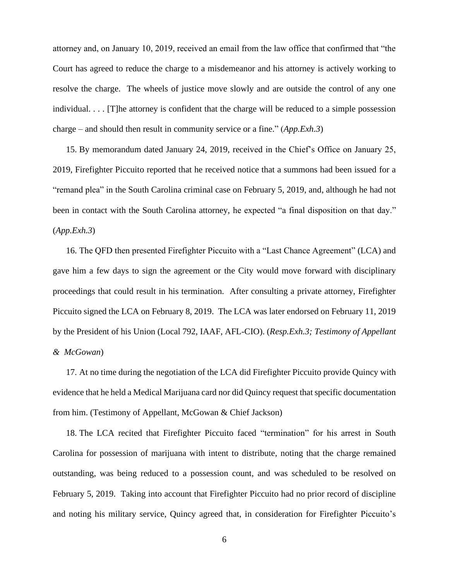attorney and, on January 10, 2019, received an email from the law office that confirmed that "the Court has agreed to reduce the charge to a misdemeanor and his attorney is actively working to resolve the charge. The wheels of justice move slowly and are outside the control of any one individual. . . . [T]he attorney is confident that the charge will be reduced to a simple possession charge – and should then result in community service or a fine." (*App.Exh.3*)

15. By memorandum dated January 24, 2019, received in the Chief's Office on January 25, 2019, Firefighter Piccuito reported that he received notice that a summons had been issued for a "remand plea" in the South Carolina criminal case on February 5, 2019, and, although he had not been in contact with the South Carolina attorney, he expected "a final disposition on that day." (*App.Exh.3*)

16. The QFD then presented Firefighter Piccuito with a "Last Chance Agreement" (LCA) and gave him a few days to sign the agreement or the City would move forward with disciplinary proceedings that could result in his termination. After consulting a private attorney, Firefighter Piccuito signed the LCA on February 8, 2019. The LCA was later endorsed on February 11, 2019 by the President of his Union (Local 792, IAAF, AFL-CIO). (*Resp.Exh.3; Testimony of Appellant & McGowan*)

17. At no time during the negotiation of the LCA did Firefighter Piccuito provide Quincy with evidence that he held a Medical Marijuana card nor did Quincy request that specific documentation from him. (Testimony of Appellant, McGowan & Chief Jackson)

18. The LCA recited that Firefighter Piccuito faced "termination" for his arrest in South Carolina for possession of marijuana with intent to distribute, noting that the charge remained outstanding, was being reduced to a possession count, and was scheduled to be resolved on February 5, 2019. Taking into account that Firefighter Piccuito had no prior record of discipline and noting his military service, Quincy agreed that, in consideration for Firefighter Piccuito's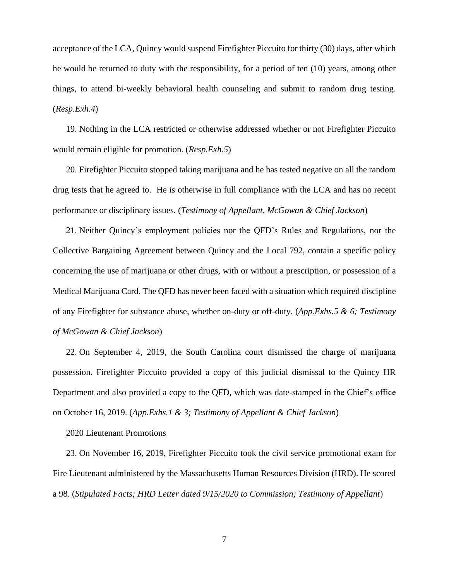acceptance of the LCA, Quincy would suspend Firefighter Piccuito for thirty (30) days, after which he would be returned to duty with the responsibility, for a period of ten (10) years, among other things, to attend bi-weekly behavioral health counseling and submit to random drug testing. (*Resp.Exh.4*)

19. Nothing in the LCA restricted or otherwise addressed whether or not Firefighter Piccuito would remain eligible for promotion. (*Resp.Exh.5*)

20. Firefighter Piccuito stopped taking marijuana and he has tested negative on all the random drug tests that he agreed to. He is otherwise in full compliance with the LCA and has no recent performance or disciplinary issues. (*Testimony of Appellant, McGowan & Chief Jackson*)

21. Neither Quincy's employment policies nor the QFD's Rules and Regulations, nor the Collective Bargaining Agreement between Quincy and the Local 792, contain a specific policy concerning the use of marijuana or other drugs, with or without a prescription, or possession of a Medical Marijuana Card. The QFD has never been faced with a situation which required discipline of any Firefighter for substance abuse, whether on-duty or off-duty. (*App.Exhs.5 & 6; Testimony of McGowan & Chief Jackson*)

22. On September 4, 2019, the South Carolina court dismissed the charge of marijuana possession. Firefighter Piccuito provided a copy of this judicial dismissal to the Quincy HR Department and also provided a copy to the QFD, which was date-stamped in the Chief's office on October 16, 2019. (*App.Exhs.1 & 3; Testimony of Appellant & Chief Jackson*)

#### 2020 Lieutenant Promotions

23. On November 16, 2019, Firefighter Piccuito took the civil service promotional exam for Fire Lieutenant administered by the Massachusetts Human Resources Division (HRD). He scored a 98. (*Stipulated Facts; HRD Letter dated 9/15/2020 to Commission; Testimony of Appellant*)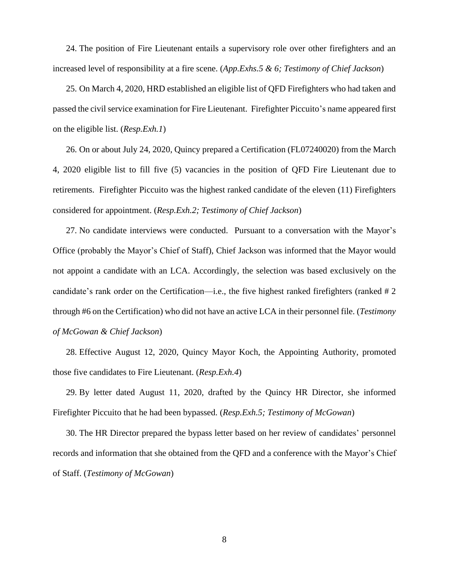24. The position of Fire Lieutenant entails a supervisory role over other firefighters and an increased level of responsibility at a fire scene. (*App.Exhs.5 & 6; Testimony of Chief Jackson*)

25. On March 4, 2020, HRD established an eligible list of QFD Firefighters who had taken and passed the civil service examination for Fire Lieutenant. Firefighter Piccuito's name appeared first on the eligible list. (*Resp.Exh.1*)

26. On or about July 24, 2020, Quincy prepared a Certification (FL07240020) from the March 4, 2020 eligible list to fill five (5) vacancies in the position of QFD Fire Lieutenant due to retirements. Firefighter Piccuito was the highest ranked candidate of the eleven (11) Firefighters considered for appointment. (*Resp.Exh.2; Testimony of Chief Jackson*)

27. No candidate interviews were conducted. Pursuant to a conversation with the Mayor's Office (probably the Mayor's Chief of Staff), Chief Jackson was informed that the Mayor would not appoint a candidate with an LCA. Accordingly, the selection was based exclusively on the candidate's rank order on the Certification—i.e., the five highest ranked firefighters (ranked # 2 through #6 on the Certification) who did not have an active LCA in their personnel file. (*Testimony of McGowan & Chief Jackson*)

28. Effective August 12, 2020, Quincy Mayor Koch, the Appointing Authority, promoted those five candidates to Fire Lieutenant. (*Resp.Exh.4*)

29. By letter dated August 11, 2020, drafted by the Quincy HR Director, she informed Firefighter Piccuito that he had been bypassed. (*Resp.Exh.5; Testimony of McGowan*)

30. The HR Director prepared the bypass letter based on her review of candidates' personnel records and information that she obtained from the QFD and a conference with the Mayor's Chief of Staff. (*Testimony of McGowan*)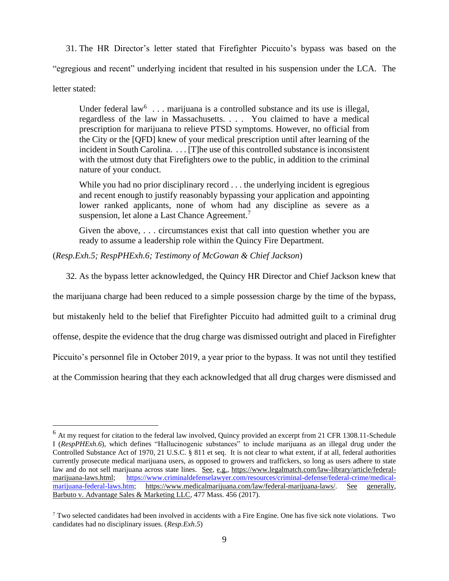31. The HR Director's letter stated that Firefighter Piccuito's bypass was based on the "egregious and recent" underlying incident that resulted in his suspension under the LCA. The

letter stated:

Under federal law<sup>6</sup> . . . marijuana is a controlled substance and its use is illegal, regardless of the law in Massachusetts. . . . You claimed to have a medical prescription for marijuana to relieve PTSD symptoms. However, no official from the City or the [QFD] knew of your medical prescription until after learning of the incident in South Carolina. . . . [T]he use of this controlled substance is inconsistent with the utmost duty that Firefighters owe to the public, in addition to the criminal nature of your conduct.

While you had no prior disciplinary record . . . the underlying incident is egregious and recent enough to justify reasonably bypassing your application and appointing lower ranked applicants, none of whom had any discipline as severe as a suspension, let alone a Last Chance Agreement.<sup>7</sup>

Given the above, . . . circumstances exist that call into question whether you are ready to assume a leadership role within the Quincy Fire Department.

(*Resp.Exh.5; RespPHExh.6; Testimony of McGowan & Chief Jackson*)

32. As the bypass letter acknowledged, the Quincy HR Director and Chief Jackson knew that

the marijuana charge had been reduced to a simple possession charge by the time of the bypass,

but mistakenly held to the belief that Firefighter Piccuito had admitted guilt to a criminal drug

offense, despite the evidence that the drug charge was dismissed outright and placed in Firefighter

Piccuito's personnel file in October 2019, a year prior to the bypass. It was not until they testified

at the Commission hearing that they each acknowledged that all drug charges were dismissed and

 $<sup>6</sup>$  At my request for citation to the federal law involved, Quincy provided an excerpt from 21 CFR 1308.11-Schedule</sup> I (*RespPHExh.6*), which defines "Hallucinogenic substances" to include marijuana as an illegal drug under the Controlled Substance Act of 1970, 21 U.S.C. § 811 et seq. It is not clear to what extent, if at all, federal authorities currently prosecute medical marijuana users, as opposed to growers and traffickers, so long as users adhere to state law and do not sell marijuana across state lines. See, e.g., [https://www.legalmatch.com/law-library/article/federal](https://urldefense.com/v3/__https:/www.legalmatch.com/law-library/article/federal-marijuana-laws.html__;!!CUhgQOZqV7M!yuxgcaiTowXsaVXCc3eCB1ynQFCNXhsMXdp15LTKZprKbrXrKR8VVDnSKaNgZxwwqtQ$)[marijuana-laws.html;](https://urldefense.com/v3/__https:/www.legalmatch.com/law-library/article/federal-marijuana-laws.html__;!!CUhgQOZqV7M!yuxgcaiTowXsaVXCc3eCB1ynQFCNXhsMXdp15LTKZprKbrXrKR8VVDnSKaNgZxwwqtQ$) [https://www.criminaldefenselawyer.com/resources/criminal-defense/federal-crime/medical](https://www.criminaldefenselawyer.com/resources/criminal-defense/federal-crime/medical-marijuana-federal-laws.htm)[marijuana-federal-laws.htm;](https://www.criminaldefenselawyer.com/resources/criminal-defense/federal-crime/medical-marijuana-federal-laws.htm) [https://www.medicalmarijuana.com/law/federal-marijuana-laws/.](https://urldefense.com/v3/__https:/www.medicalmarijuana.com/law/federal-marijuana-laws/__;!!CUhgQOZqV7M!0wkNcmI8sl0kf38CI2krxzRFCMT0JO3g_-cEhLGINLwpupDvIIizKTbFCto6m6YwpAs$) See generally, Barbuto v. Advantage Sales & Marketing LLC, 477 Mass. 456 (2017).

<sup>7</sup> Two selected candidates had been involved in accidents with a Fire Engine. One has five sick note violations. Two candidates had no disciplinary issues. (*Resp.Exh.5*)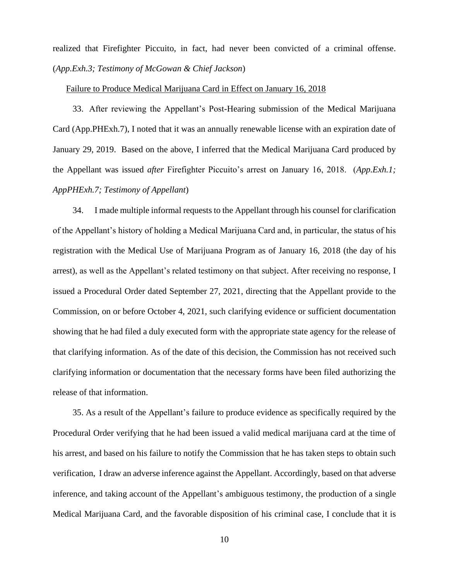realized that Firefighter Piccuito, in fact, had never been convicted of a criminal offense. (*App.Exh.3; Testimony of McGowan & Chief Jackson*)

#### Failure to Produce Medical Marijuana Card in Effect on January 16, 2018

33. After reviewing the Appellant's Post-Hearing submission of the Medical Marijuana Card (App.PHExh.7), I noted that it was an annually renewable license with an expiration date of January 29, 2019. Based on the above, I inferred that the Medical Marijuana Card produced by the Appellant was issued *after* Firefighter Piccuito's arrest on January 16, 2018. (*App.Exh.1; AppPHExh.7; Testimony of Appellant*)

34. I made multiple informal requests to the Appellant through his counsel for clarification of the Appellant's history of holding a Medical Marijuana Card and, in particular, the status of his registration with the Medical Use of Marijuana Program as of January 16, 2018 (the day of his arrest), as well as the Appellant's related testimony on that subject. After receiving no response, I issued a Procedural Order dated September 27, 2021, directing that the Appellant provide to the Commission, on or before October 4, 2021, such clarifying evidence or sufficient documentation showing that he had filed a duly executed form with the appropriate state agency for the release of that clarifying information. As of the date of this decision, the Commission has not received such clarifying information or documentation that the necessary forms have been filed authorizing the release of that information.

35. As a result of the Appellant's failure to produce evidence as specifically required by the Procedural Order verifying that he had been issued a valid medical marijuana card at the time of his arrest, and based on his failure to notify the Commission that he has taken steps to obtain such verification, I draw an adverse inference against the Appellant. Accordingly, based on that adverse inference, and taking account of the Appellant's ambiguous testimony, the production of a single Medical Marijuana Card, and the favorable disposition of his criminal case, I conclude that it is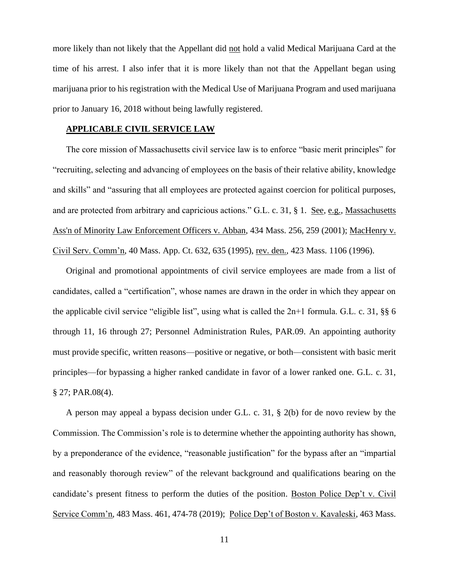more likely than not likely that the Appellant did not hold a valid Medical Marijuana Card at the time of his arrest. I also infer that it is more likely than not that the Appellant began using marijuana prior to his registration with the Medical Use of Marijuana Program and used marijuana prior to January 16, 2018 without being lawfully registered.

# **APPLICABLE CIVIL SERVICE LAW**

The core mission of Massachusetts civil service law is to enforce "basic merit principles" for "recruiting, selecting and advancing of employees on the basis of their relative ability, knowledge and skills" and "assuring that all employees are protected against coercion for political purposes, and are protected from arbitrary and capricious actions." G.L. c. 31, § 1. See, e.g., [Massachusetts](http://web2.westlaw.com/find/default.wl?mt=Massachusetts&db=578&rs=WLW15.04&tc=-1&rp=%2ffind%2fdefault.wl&findtype=Y&ordoc=2029136022&serialnum=2001441097&vr=2.0&fn=_top&sv=Split&tf=-1&pbc=70F732C1&utid=1)  [Ass'n of Minority Law Enforcement Officers v. Abban,](http://web2.westlaw.com/find/default.wl?mt=Massachusetts&db=578&rs=WLW15.04&tc=-1&rp=%2ffind%2fdefault.wl&findtype=Y&ordoc=2029136022&serialnum=2001441097&vr=2.0&fn=_top&sv=Split&tf=-1&pbc=70F732C1&utid=1) 434 Mass. 256, 259 (2001); MacHenry v. Civil Serv. Comm'n, 40 Mass. App. Ct. 632, 635 (1995), rev. den., 423 Mass. 1106 (1996).

Original and promotional appointments of civil service employees are made from a list of candidates, called a "certification", whose names are drawn in the order in which they appear on the applicable civil service "eligible list", using what is called the  $2n+1$  formula. G.L. c. 31, §§ 6 through 11, 16 through 27; Personnel Administration Rules, PAR.09. An appointing authority must provide specific, written reasons—positive or negative, or both—consistent with basic merit principles—for bypassing a higher ranked candidate in favor of a lower ranked one. G.L. c. 31, § 27; PAR.08(4).

A person may appeal a bypass decision under G.L. c. 31, § 2(b) for de novo review by the Commission. The Commission's role is to determine whether the appointing authority has shown, by a preponderance of the evidence, "reasonable justification" for the bypass after an "impartial and reasonably thorough review" of the relevant background and qualifications bearing on the candidate's present fitness to perform the duties of the position. Boston Police Dep't v. Civil Service Comm'n, 483 Mass. 461, 474-78 (2019); Police Dep't of Boston v. Kavaleski, 463 Mass.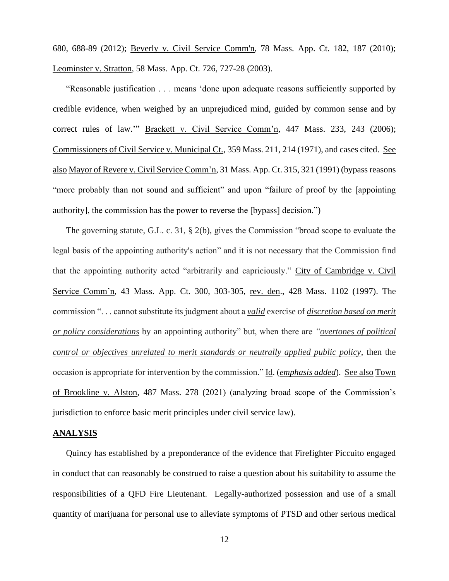680, 688-89 (2012); [Beverly v. Civil Service Comm'n, 78 Mass.](http://web2.westlaw.com/find/default.wl?mt=Massachusetts&db=578&rs=WLW15.04&tc=-1&rp=%2ffind%2fdefault.wl&findtype=Y&ordoc=2029136022&serialnum=2023501172&vr=2.0&fn=_top&sv=Split&tf=-1&pbc=70F732C1&utid=1) App. Ct. 182, 187 (2010); Leominster v. Stratton, 58 Mass. App. Ct. 726, 727-28 (2003).

"Reasonable justification . . . means 'done upon adequate reasons sufficiently supported by credible evidence, when weighed by an unprejudiced mind, guided by common sense and by correct rules of law." Brackett v. Civil Service Comm'n, 447 Mass. 233, 243 (2006); Commissioners of Civil Service v. Municipal Ct., 359 Mass. 211, 214 (1971), and cases cited. See also Mayor of Revere v. Civil Service Comm'n, 31 Mass. App. Ct. 315, 321 (1991) (bypass reasons "more probably than not sound and sufficient" and upon "failure of proof by the [appointing authority], the commission has the power to reverse the [bypass] decision.")

The governing statute, G.L. c. 31, § 2(b), gives the Commission "broad scope to evaluate the legal basis of the appointing authority's action" and it is not necessary that the Commission find that the appointing authority acted "arbitrarily and capriciously." City of Cambridge v. Civil Service Comm'n, 43 Mass. App. Ct. 300, 303-305, rev. den., 428 Mass. 1102 (1997). The commission ". . . cannot substitute its judgment about a *valid* exercise of *discretion based on merit or policy considerations* by an appointing authority" but, when there are *"overtones of political control or objectives unrelated to merit standards or neutrally applied public policy*, then the occasion is appropriate for intervention by the commission." Id. (*emphasis added*). See also Town of Brookline v. Alston, 487 Mass. 278 (2021) (analyzing broad scope of the Commission's jurisdiction to enforce basic merit principles under civil service law).

### **ANALYSIS**

Quincy has established by a preponderance of the evidence that Firefighter Piccuito engaged in conduct that can reasonably be construed to raise a question about his suitability to assume the responsibilities of a QFD Fire Lieutenant. Legally-authorized possession and use of a small quantity of marijuana for personal use to alleviate symptoms of PTSD and other serious medical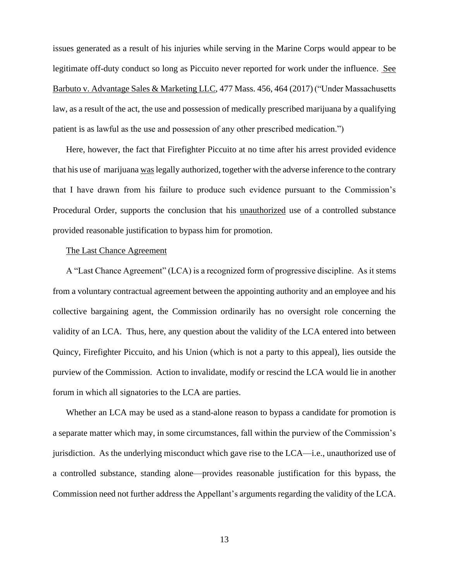issues generated as a result of his injuries while serving in the Marine Corps would appear to be legitimate off-duty conduct so long as Piccuito never reported for work under the influence. See Barbuto v. Advantage Sales & Marketing LLC, 477 Mass. 456, 464 (2017) ("Under Massachusetts law, as a result of the act, the use and possession of medically prescribed marijuana by a qualifying patient is as lawful as the use and possession of any other prescribed medication.")

Here, however, the fact that Firefighter Piccuito at no time after his arrest provided evidence that his use of marijuana waslegally authorized, together with the adverse inference to the contrary that I have drawn from his failure to produce such evidence pursuant to the Commission's Procedural Order, supports the conclusion that his unauthorized use of a controlled substance provided reasonable justification to bypass him for promotion.

# The Last Chance Agreement

A "Last Chance Agreement" (LCA) is a recognized form of progressive discipline. As it stems from a voluntary contractual agreement between the appointing authority and an employee and his collective bargaining agent, the Commission ordinarily has no oversight role concerning the validity of an LCA. Thus, here, any question about the validity of the LCA entered into between Quincy, Firefighter Piccuito, and his Union (which is not a party to this appeal), lies outside the purview of the Commission. Action to invalidate, modify or rescind the LCA would lie in another forum in which all signatories to the LCA are parties.

Whether an LCA may be used as a stand-alone reason to bypass a candidate for promotion is a separate matter which may, in some circumstances, fall within the purview of the Commission's jurisdiction. As the underlying misconduct which gave rise to the LCA—i.e., unauthorized use of a controlled substance, standing alone—provides reasonable justification for this bypass, the Commission need not further address the Appellant's arguments regarding the validity of the LCA.